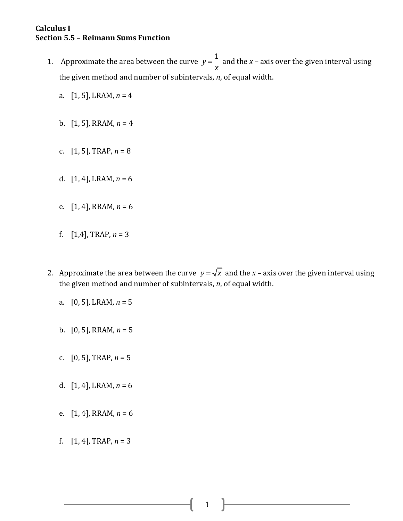## **Calculus I Section 5.5 – Reimann Sums Function**

- 1. Approximate the area between the curve  $y = \frac{1}{x}$ *x*  $=$  and the *x* – axis over the given interval using the given method and number of subintervals, *n*, of equal width.
	- a. [1, 5], LRAM, *n* = 4
	- b.  $[1, 5]$ , RRAM,  $n = 4$
	- c. [1, 5], TRAP, *n* = 8
	- d. [1, 4], LRAM, *n* = 6
	- e. [1, 4], RRAM, *n* = 6
	- f.  $[1,4]$ , TRAP,  $n = 3$
- 2. Approximate the area between the curve  $y = \sqrt{x}$  and the x axis over the given interval using the given method and number of subintervals, *n*, of equal width.
	- a. [0, 5], LRAM, *n* = 5
	- b. [0, 5], RRAM, *n* = 5
	- c. [0, 5], TRAP, *n* = 5
	- d. [1, 4], LRAM, *n* = 6
	- e. [1, 4], RRAM, *n* = 6
	- f.  $[1, 4]$ , TRAP,  $n = 3$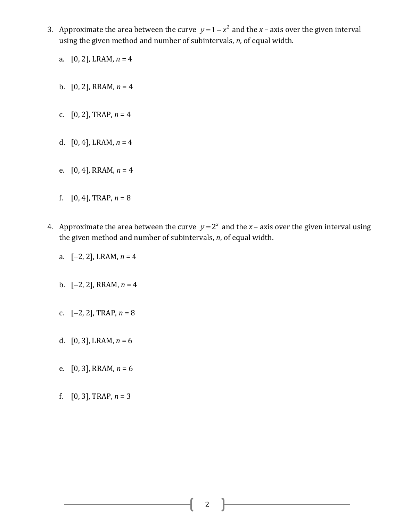- 3. Approximate the area between the curve  $y = 1 x^2$  and the  $x$  axis over the given interval using the given method and number of subintervals, *n*, of equal width.
	- a. [0, 2], LRAM, *n* = 4
	- b.  $[0, 2]$ , RRAM,  $n = 4$
	- c. [0, 2], TRAP, *n* = 4
	- d. [0, 4], LRAM, *n* = 4
	- e. [0, 4], RRAM, *n* = 4
	- f.  $[0, 4]$ , TRAP,  $n = 8$
- 4. Approximate the area between the curve  $y = 2^x$  and the  $x$  axis over the given interval using the given method and number of subintervals, *n*, of equal width.
	- a.  $[-2, 2]$ , LRAM,  $n = 4$
	- b.  $[-2, 2]$ , RRAM,  $n = 4$
	- c.  $[-2, 2]$ , TRAP,  $n = 8$
	- d.  $[0, 3]$ , LRAM,  $n = 6$
	- e. [0, 3], RRAM, *n* = 6
	- f.  $[0, 3]$ , TRAP,  $n = 3$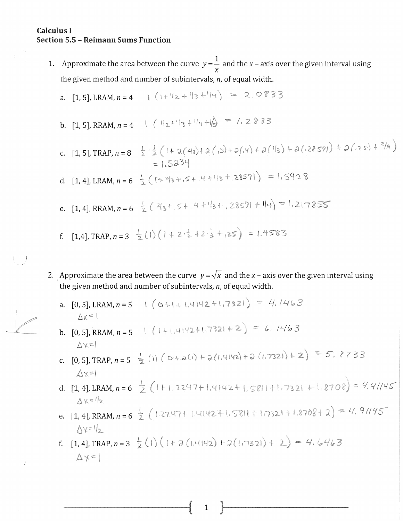## **Calculus I Section 5.5 - Reimann Sums Function**

 $\begin{pmatrix} 1 & 0 \\ 0 & 1 \end{pmatrix}$ 

1. Approximate the area between the curve  $y=\frac{1}{y}$  and the x – axis over the given interval using the given method and number of subintervals, n, of equal width.

a. [1, 5], LRAM, 
$$
n = 4
$$
 |  $(+ \sqrt{2} + \sqrt{3} + \sqrt{4}) = 2.0833$ 

- b. [1, 5], RRAM,  $n = 4$   $\left(\sqrt{12} + \sqrt{3} + \sqrt{4} + \sqrt{3}\right) = 7.2833$
- c. [1, 5], TRAP,  $n = 8 \div \frac{1}{2} (1 + \frac{1}{2}(2/3) + \frac{1}{2}(15) + \frac{1}{2}(1/3) + \frac{1}{2}(1/3) + \frac{1}{2}(2857) + \frac{1}{2}(35) + \frac{2}{3}(4)$  $-1.5234$
- d. [1, 4], LRAM,  $n = 6 \frac{1}{2} (1 + 213 + 15 + 14 + 113 + 28571) = 1.5928$
- e. [1, 4], RRAM,  $n = 6 \frac{1}{2} (213 + 5 + 4 + 113 + 2857) + 114) = 1.217855$
- f. [1,4], TRAP,  $n = 3 \frac{1}{2} (1) (1 + 2 \cdot \frac{1}{2} + 2 \cdot \frac{1}{3} + 2 \cdot \frac{1}{5}) = 1.4583$
- 2. Approximate the area between the curve  $y = \sqrt{x}$  and the x axis over the given interval using the given method and number of subintervals, n, of equal width.
	- a. [0, 5], LRAM,  $n = 5$  (c+1+1, 4142+1, 7321) = 4.1463  $\Delta x = 1$
	- b. [0, 5], RRAM,  $n = 5$  (1+1, 4142+1, 7321 + 2) = 6, 1463  $\Delta x$ =1
	- c. [0, 5], TRAP,  $n = 5 \frac{1}{2}$  (1)  $(0 + 2(1) + 2(1, 4142) + 2(1, 7321) + 2) = 5$ , 8733  $\Delta x=1$
	- d. [1, 4], LRAM,  $n = 6 \frac{1}{2} (1 + 1.2247 + 1.4142 + 1.5811 + 1.7321 + 1.8708) = 4.41/45$  $\Delta x = 1/2$
	- e. [1, 4], RRAM,  $n = 6\frac{1}{2}$  (1.2247+1.4142+1.5811+1.7321+1.8708+2) = 4, 9/145  $\Lambda x = 1/2$
	- f. [1, 4], TRAP,  $n = 3 \frac{1}{2}(1)(1 + 2(1.4142) + 2(1.7321) + 2) = 4.6463$  $\Delta x = 1$

 $\mathbf{1}$